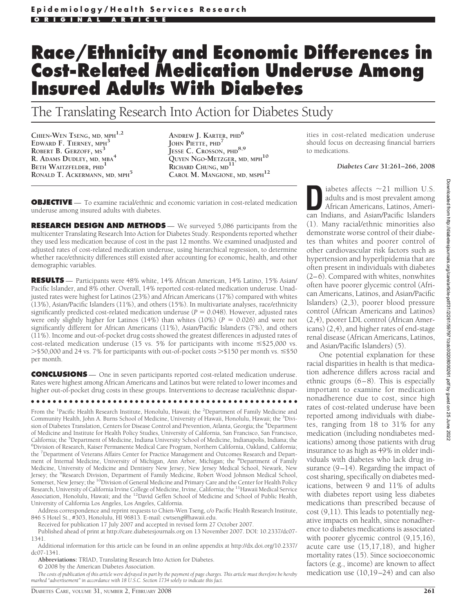# **Race/Ethnicity and Economic Differences in Cost-Related Medication Underuse Among Insured Adults With Diabetes**

The Translating Research Into Action for Diabetes Study

**CHIEN-WEN TSENG, MD, MPH1,2 EDWARD F. TIERNEY, MPH<sup>3</sup> ROBERT B. GERZOFF, MS<sup>3</sup> R. ADAMS DUDLEY, MD, MBA<sup>4</sup> BETH WAITZFELDER, PHD<sup>1</sup> RONALD T. ACKERMANN, MD, MPH<sup>5</sup>**

**ANDREW J. KARTER, PHD<sup>6</sup> JOHN PIETTE, PHD<sup>7</sup> JESSE C. CROSSON, PHD8,9 QUYEN NGO-METZGER, MD, MPH<sup>10</sup> RICHARD CHUNG, MD11 CAROL M. MANGIONE, MD, MSPH<sup>12</sup>**

ities in cost-related medication underuse should focus on decreasing financial barriers to medications.

#### *Diabetes Care* **31:261–266, 2008**

**OBJECTIVE** — To examine racial/ethnic and economic variation in cost-related medication underuse among insured adults with diabetes.

**RESEARCH DESIGN AND METHODS** — We surveyed 5,086 participants from the multicenter Translating Research Into Action for Diabetes Study. Respondents reported whether they used less medication because of cost in the past 12 months. We examined unadjusted and adjusted rates of cost-related medication underuse, using hierarchical regression, to determine whether race/ethnicity differences still existed after accounting for economic, health, and other demographic variables.

**RESULTS** — Participants were 48% white, 14% African American, 14% Latino, 15% Asian/ Pacific Islander, and 8% other. Overall, 14% reported cost-related medication underuse. Unadjusted rates were highest for Latinos (23%) and African Americans (17%) compared with whites (13%), Asian/Pacific Islanders (11%), and others (15%). In multivariate analyses, race/ethnicity significantly predicted cost-related medication underuse  $(P = 0.048)$ . However, adjusted rates were only slightly higher for Latinos  $(14%)$  than whites  $(10%)$   $(P = 0.026)$  and were not significantly different for African Americans (11%), Asian/Pacific Islanders (7%), and others (11%). Income and out-of-pocket drug costs showed the greatest differences in adjusted rates of cost-related medication underuse (15 vs. 5% for participants with income  $\leq$ \$25,000 vs. > \$50,000 and 24 vs. 7% for participants with out-of-pocket costs > \$150 per month vs.  $\leq$  \$50 per month.

**CONCLUSIONS** — One in seven participants reported cost-related medication underuse. Rates were highest among African Americans and Latinos but were related to lower incomes and higher out-of-pocket drug costs in these groups. Interventions to decrease racial/ethnic dispar-

●●●●●●●●●●●●●●●●●●●●●●●●●●●●●●●●●●●●●●●●●●●●●●●●●

From the <sup>1</sup>Pacific Health Research Institute, Honolulu, Hawaii; the <sup>2</sup>Department of Family Medicine and Community Health, John A. Burns School of Medicine, University of Hawaii, Honolulu, Hawaii; the <sup>3</sup>Division of Diabetes Translation, Centers for Disease Control and Prevention, Atlanta, Georgia; the <sup>4</sup>Department of Medicine and Institute for Health Policy Studies, University of California, San Francisco, San Francisco, California; the <sup>5</sup>Department of Medicine, Indiana University School of Medicine, Indianapolis, Indiana; the <sup>6</sup>Division of Research, Kaiser Permanente Medical Care Program, Northern California, Oakland, California; <sup>6</sup>Division of Research, Kaiser Permanente Medical Care Program, Northern California, Oakland, California; the <sup>7</sup>Department of Veterans Affairs Center for Practice Management and Outcomes Research and Department of Internal Medicine, University of Michigan, Ann Arbor, Michigan; the <sup>8</sup>Department of Family Medicine, University of Medicine and Dentistry New Jersey, New Jersey Medical School, Newark, New Jersey; the <sup>9</sup>Research Division, Department of Family Medicine, Robert Wood Johnson Medical School, Somerset, New Jersey; the <sup>10</sup>Division of General Medicine and Primary Care and the Center for Health Policy Research, University of California Irvine College of Medicine, Irvine, California; the <sup>11</sup>Hawaii Medical Service Association, Honolulu, Hawaii; and the 12David Geffen School of Medicine and School of Public Health, University of California Los Angeles, Los Angeles, California.

Address correspondence and reprint requests to Chien-Wen Tseng, c/o Pacific Health Research Institute, 846 S Hotel St., #303, Honolulu, HI 96813. E-mail: cwtseng@hawaii.edu.

Received for publication 17 July 2007 and accepted in revised form 27 October 2007.

Published ahead of print at http://care.diabetesjournals.org on 13 November 2007. DOI: 10.2337/dc07- 1341.

Additional information for this article can be found in an online appendix at http://dx.doi.org/10.2337/ dc07-1341.

**Abbreviations:** TRIAD, Translating Research Into Action for Diabetes.

© 2008 by the American Diabetes Association.

*The costs of publication of this article were defrayed in part by the payment of page charges. This article must therefore be hereby marked "advertisement" in accordance with 18 U.S.C. Section 1734 solely to indicate this fact.*

iabetes affects  $\sim$ 21 million U.S.<br>
adults and is most prevalent among<br>
African Americans, Latinos, Ameri-<br>
can Indians, and Asian/Pacific Islanders adults and is most prevalent among African Americans, Latinos, American Indians, and Asian/Pacific Islanders (1). Many racial/ethnic minorities also demonstrate worse control of their diabetes than whites and poorer control of other cardiovascular risk factors such as hypertension and hyperlipidemia that are often present in individuals with diabetes (2–6). Compared with whites, nonwhites often have poorer glycemic control (African Americans, Latinos, and Asian/Pacific Islanders) (2,3), poorer blood pressure control (African Americans and Latinos) (2,4), poorer LDL control (African Americans) (2,4), and higher rates of end-stage renal disease (African Americans, Latinos, and Asian/Pacific Islanders) (5).

One potential explanation for these racial disparities in health is that medication adherence differs across racial and ethnic groups (6–8). This is especially important to examine for medication nonadherence due to cost, since high rates of cost-related underuse have been reported among individuals with diabetes, ranging from 18 to 31% for any medication (including nondiabetes medications) among those patients with drug insurance to as high as 49% in older individuals with diabetes who lack drug insurance (9–14). Regarding the impact of cost sharing, specifically on diabetes medications, between 9 and 11% of adults with diabetes report using less diabetes medications than prescribed because of cost (9,11). This leads to potentially negative impacts on health, since nonadherence to diabetes medications is associated with poorer glycemic control (9,15,16), acute care use (15,17,18), and higher mortality rates (15). Since socioeconomic factors (e.g., income) are known to affect medication use (10,19–24) and can also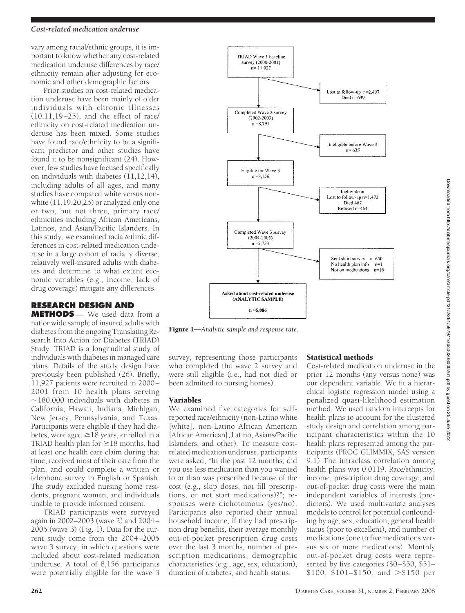## *Cost-related medication underuse*

vary among racial/ethnic groups, it is important to know whether any cost-related medication underuse differences by race/ ethnicity remain after adjusting for economic and other demographic factors.

Prior studies on cost-related medication underuse have been mainly of older individuals with chronic illnesses (10,11,19–25), and the effect of race/ ethnicity on cost-related medication underuse has been mixed. Some studies have found race/ethnicity to be a significant predictor and other studies have found it to be nonsignificant (24). However, few studies have focused specifically on individuals with diabetes  $(11, 12, 14)$ , including adults of all ages, and many studies have compared white versus nonwhite (11,19,20,25) or analyzed only one or two, but not three, primary race/ ethnicities including African Americans, Latinos, and Asian/Pacific Islanders. In this study, we examined racial/ethnic differences in cost-related medication underuse in a large cohort of racially diverse, relatively well-insured adults with diabetes and determine to what extent economic variables (e.g., income, lack of drug coverage) mitigate any differences.

# **RESEARCH DESIGN AND**

**METHODS** — We used data from a nationwide sample of insured adults with diabetes from the ongoing Translating Research Into Action for Diabetes (TRIAD) Study. TRIAD is a longitudinal study of individuals with diabetes in managed care plans. Details of the study design have previously been published (26). Briefly, 11,927 patients were recruited in 2000– 2001 from 10 health plans serving  $\sim$ 180,000 individuals with diabetes in California, Hawaii, Indiana, Michigan, New Jersey, Pennsylvania, and Texas. Participants were eligible if they had diabetes, were aged  $\geq$  18 years, enrolled in a TRIAD health plan for  $\geq$ 18 months, had at least one health care claim during that time, received most of their care from the plan, and could complete a written or telephone survey in English or Spanish. The study excluded nursing home residents, pregnant women, and individuals unable to provide informed consent.

TRIAD participants were surveyed again in 2002–2003 (wave 2) and 2004– 2005 (wave 3) (Fig. 1). Data for the current study come from the 2004–2005 wave 3 survey, in which questions were included about cost-related medication underuse. A total of 8,156 participants were potentially eligible for the wave 3



Figure 1—*Analytic sample and response rate.*

survey, representing those participants who completed the wave 2 survey and were still eligible (i.e., had not died or been admitted to nursing homes).

# Variables

We examined five categories for selfreported race/ethnicity (non-Latino white [white], non-Latino African American [African American], Latino, Asians/Pacific Islanders, and other). To measure costrelated medication underuse, participants were asked, "In the past 12 months, did you use less medication than you wanted to or than was prescribed because of the cost (e.g., skip doses, not fill prescriptions, or not start medications)?"; responses were dichotomous (yes/no). Participants also reported their annual household income, if they had prescription drug benefits, their average monthly out-of-pocket prescription drug costs over the last 3 months, number of prescription medications, demographic characteristics (e.g., age, sex, education), duration of diabetes, and health status.

# Statistical methods

Cost-related medication underuse in the prior 12 months (any versus none) was our dependent variable. We fit a hierarchical logistic regression model using a penalized quasi-likelihood estimation method. We used random intercepts for health plans to account for the clustered study design and correlation among participant characteristics within the 10 health plans represented among the participants (PROC GLIMMIX, SAS version 9.1) The intraclass correlation among health plans was 0.0119. Race/ethnicity, income, prescription drug coverage, and out-of-pocket drug costs were the main independent variables of interests (predictors). We used multivariate analyses models to control for potential confounding by age, sex, education, general health status (poor to excellent), and number of medications (one to five medications versus six or more medications). Monthly out-of-pocket drug costs were represented by five categories (\$0–\$50, \$51–  $$100, $101 - $150, and > $150 \text{ per}$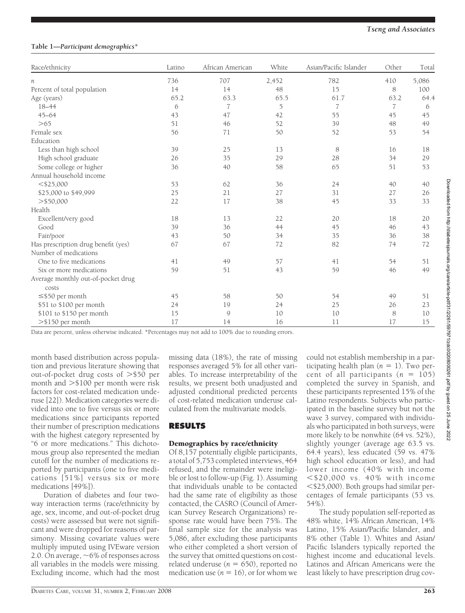# **Table 1—***Participant demographics\**

| Race/ethnicity                      | Latino | African American | White | Asian/Pacific Islander | Other          | Total |
|-------------------------------------|--------|------------------|-------|------------------------|----------------|-------|
| n                                   | 736    | 707              | 2,452 | 782                    | 410            | 5,086 |
| Percent of total population         | 14     | 14               | 48    | 15                     | 8              | 100   |
| Age (years)                         | 65.2   | 63.3             | 65.5  | 61.7                   | 63.2           | 64.4  |
| $18 - 44$                           | 6      | 7                | 5     | $\overline{7}$         | $\overline{7}$ | 6     |
| $45 - 64$                           | 43     | 47               | 42    | 55                     | 45             | 45    |
| >65                                 | 51     | 46               | 52    | 39                     | 48             | 49    |
| Female sex                          | 56     | 71               | 50    | 52                     | 53             | 54    |
| Education                           |        |                  |       |                        |                |       |
| Less than high school               | 39     | 25               | 13    | 8                      | 16             | 18    |
| High school graduate                | 26     | 35               | 29    | 28                     | 34             | 29    |
| Some college or higher              | 36     | 40               | 58    | 65                     | 51             | 53    |
| Annual household income             |        |                  |       |                        |                |       |
| $<$ \$25,000                        | 53     | 62               | 36    | 24                     | 40             | 40    |
| \$25,000 to \$49,999                | 25     | 21               | 27    | 31                     | 27             | 26    |
| $>$ \$50,000                        | 22     | 17               | 38    | 45                     | 33             | 33    |
| Health                              |        |                  |       |                        |                |       |
| Excellent/very good                 | 18     | 13               | 22    | 20                     | 18             | 20    |
| Good                                | 39     | 36               | 44    | 45                     | 46             | 43    |
| Fair/poor                           | 43     | 50               | 34    | 35                     | 36             | 38    |
| Has prescription drug benefit (yes) | 67     | 67               | 72    | 82                     | 74             | 72    |
| Number of medications               |        |                  |       |                        |                |       |
| One to five medications             | 41     | 49               | 57    | 41                     | 54             | 51    |
| Six or more medications             | 59     | 51               | 43    | 59                     | 46             | 49    |
| Average monthly out-of-pocket drug  |        |                  |       |                        |                |       |
| costs                               |        |                  |       |                        |                |       |
| $\leq$ \$50 per month               | 45     | 58               | 50    | 54                     | 49             | 51    |
| \$51 to \$100 per month             | 24     | 19               | 24    | 25                     | 26             | 23    |
| \$101 to \$150 per month            | 15     | 9                | 10    | 10                     | 8              | 10    |
| >\$150 per month                    | 17     | 14               | 16    | 11                     | 17             | 15    |

Data are percent, unless otherwise indicated. \*Percentages may not add to 100% due to rounding errors.

month based distribution across population and previous literature showing that out-of-pocket drug costs of >\$50 per month and -\$100 per month were risk factors for cost-related medication underuse [22]). Medication categories were divided into one to five versus six or more medications since participants reported their number of prescription medications with the highest category represented by "6 or more medications." This dichotomous group also represented the median cutoff for the number of medications reported by participants (one to five medications [51%] versus six or more medications [49%]).

Duration of diabetes and four twoway interaction terms (race/ethnicity by age, sex, income, and out-of-pocket drug costs) were assessed but were not significant and were dropped for reasons of parsimony. Missing covariate values were multiply imputed using IVEware version 2.0. On average,  $\sim 6\%$  of responses across all variables in the models were missing. Excluding income, which had the most

missing data (18%), the rate of missing responses averaged 5% for all other variables. To increase interpretability of the results, we present both unadjusted and adjusted conditional predicted percents of cost-related medication underuse calculated from the multivariate models.

# **RESULTS**

# Demographics by race/ethnicity

Of 8,157 potentially eligible participants, a total of 5,753 completed interviews, 464 refused, and the remainder were ineligible or lost to follow-up (Fig. 1). Assuming that individuals unable to be contacted had the same rate of eligibility as those contacted, the CASRO (Council of American Survey Research Organizations) response rate would have been 75%. The final sample size for the analysis was 5,086, after excluding those participants who either completed a short version of the survey that omitted questions on costrelated underuse  $(n = 650)$ , reported no medication use  $(n = 16)$ , or for whom we

could not establish membership in a participating health plan  $(n = 1)$ . Two percent of all participants  $(n = 105)$ completed the survey in Spanish, and these participants represented 15% of the Latino respondents. Subjects who participated in the baseline survey but not the wave 3 survey, compared with individuals who participated in both surveys, were more likely to be nonwhite (64 vs. 52%), slightly younger (average age 63.5 vs. 64.4 years), less educated (59 vs. 47% high school education or less), and had lower income (40% with income  $<$ \$20,000 vs. 40% with income  $\leq$ \$25,000). Both groups had similar percentages of female participants (53 vs. 54%).

The study population self-reported as 48% white, 14% African American, 14% Latino, 15% Asian/Pacific Islander, and 8% other (Table 1). Whites and Asian/ Pacific Islanders typically reported the highest income and educational levels. Latinos and African Americans were the least likely to have prescription drug cov-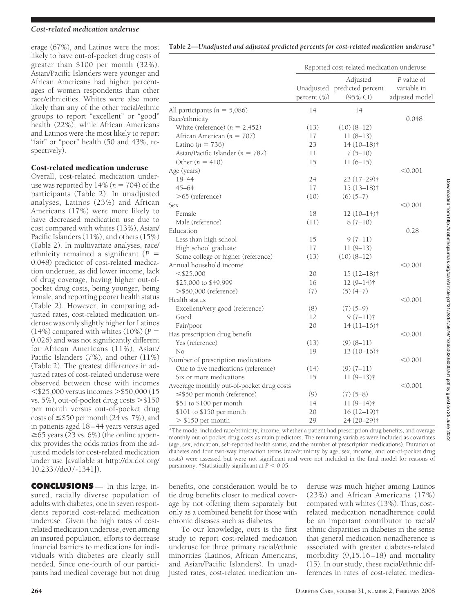## *Cost-related medication underuse*

erage (67%), and Latinos were the most likely to have out-of-pocket drug costs of greater than \$100 per month (32%). Asian/Pacific Islanders were younger and African Americans had higher percentages of women respondents than other race/ethnicities. Whites were also more likely than any of the other racial/ethnic groups to report "excellent" or "good" health (22%), while African Americans and Latinos were the most likely to report "fair" or "poor" health (50 and 43%, respectively).

## Cost-related medication underuse

Overall, cost-related medication underuse was reported by  $14\%$  ( $n = 704$ ) of the participants (Table 2). In unadjusted analyses, Latinos (23%) and African Americans (17%) were more likely to have decreased medication use due to cost compared with whites (13%), Asian/ Pacific Islanders (11%), and others (15%) (Table 2). In multivariate analyses, race/ ethnicity remained a significant (*P* 0.048) predictor of cost-related medication underuse, as did lower income, lack of drug coverage, having higher out-ofpocket drug costs, being younger, being female, and reporting poorer health status (Table 2). However, in comparing adjusted rates, cost-related medication underuse was only slightly higher for Latinos  $(14\%)$  compared with whites  $(10\%)$   $(P =$ 0.026) and was not significantly different for African Americans (11%), Asian/ Pacific Islanders (7%), and other (11%) (Table 2). The greatest differences in adjusted rates of cost-related underuse were observed between those with incomes  $<$ \$25,000 versus incomes  $>$  \$50,000 (15 vs. 5%), out-of-pocket drug costs  $>\$150$ per month versus out-of-pocket drug costs of  $\leq$  \$50 per month (24 vs. 7%), and in patients aged 18–44 years versus aged  $\geq$  65 years (23 vs. 6%) (the online appendix provides the odds ratios from the adjusted models for cost-related medication under use [available at http://dx.doi.org/ 10.2337/dc07-1341]).

**CONCLUSIONS** — In this large, insured, racially diverse population of adults with diabetes, one in seven respondents reported cost-related medication underuse. Given the high rates of costrelated medication underuse, even among an insured population, efforts to decrease financial barriers to medications for individuals with diabetes are clearly still needed. Since one-fourth of our participants had medical coverage but not drug

|  |  |  |  |  | Table 2—Unadjusted and adjusted predicted percents for cost-related medication underuse* |  |  |
|--|--|--|--|--|------------------------------------------------------------------------------------------|--|--|
|--|--|--|--|--|------------------------------------------------------------------------------------------|--|--|

|                                           | Reported cost-related medication underuse |                                                      |                                             |  |
|-------------------------------------------|-------------------------------------------|------------------------------------------------------|---------------------------------------------|--|
|                                           | percent (%)                               | Adjusted<br>Unadjusted predicted percent<br>(95% CI) | P value of<br>variable in<br>adjusted model |  |
| All participants ( $n = 5,086$ )          | 14                                        | 14                                                   |                                             |  |
| Race/ethnicity                            |                                           |                                                      | 0.048                                       |  |
| White (reference) $(n = 2,452)$           | (13)                                      | $(10)(8-12)$                                         |                                             |  |
| African American ( $n = 707$ )            | 17                                        | $11(8-13)$                                           |                                             |  |
| Latino ( $n = 736$ )                      | 23                                        | $14(10-18)$ †                                        |                                             |  |
| Asian/Pacific Islander ( $n = 782$ )      | 11                                        | $7(5-10)$                                            |                                             |  |
| Other $(n = 410)$                         | 15                                        | $11(6-15)$                                           |                                             |  |
| Age (years)                               |                                           |                                                      | < 0.001                                     |  |
| 18-44                                     | 24                                        | $23(17-29)$ †                                        |                                             |  |
| $45 - 64$                                 | 17                                        | $15(13-18)$ †                                        |                                             |  |
| $>65$ (reference)                         | (10)                                      | $(6)$ $(5-7)$                                        |                                             |  |
| Sex                                       |                                           |                                                      | < 0.001                                     |  |
| Female                                    | 18                                        | $12(10-14)$ †                                        |                                             |  |
| Male (reference)                          | (11)                                      | $8(7-10)$                                            |                                             |  |
| Education                                 |                                           |                                                      | 0.28                                        |  |
| Less than high school                     | 15                                        | $9(7-11)$                                            |                                             |  |
| High school graduate                      | 17                                        | $11(9-13)$                                           |                                             |  |
| Some college or higher (reference)        | (13)                                      | $(10)(8-12)$                                         |                                             |  |
| Annual household income                   |                                           |                                                      | < 0.001                                     |  |
| $<$ \$25,000                              | 20                                        | $15(12-18)$ †                                        |                                             |  |
| \$25,000 to \$49,999                      | 16                                        | $12(9-14)$ †                                         |                                             |  |
| >\$50,000 (reference)                     | (7)                                       | $(5)$ $(4-7)$                                        |                                             |  |
| Health status                             |                                           |                                                      | < 0.001                                     |  |
| Excellent/very good (reference)           | (8)                                       | $(7)$ $(5-9)$                                        |                                             |  |
| Good                                      | 12                                        | $9(7-11)$                                            |                                             |  |
| Fair/poor                                 | 20                                        | $14(11-16)$                                          |                                             |  |
| Has prescription drug benefit             |                                           |                                                      | < 0.001                                     |  |
| Yes (reference)                           | (13)                                      | $(9)$ $(8-11)$                                       |                                             |  |
| No                                        | 19                                        | $13(10-16)$ †                                        |                                             |  |
| Number of prescription medications        |                                           |                                                      | < 0.001                                     |  |
| One to five medications (reference)       | (14)                                      | $(9) (7-11)$                                         |                                             |  |
| Six or more medications                   | 15                                        | $11(9-13)$ †                                         |                                             |  |
| Aveerage monthly out-of-pocket drug costs |                                           |                                                      | $<$ 0.001                                   |  |
| $\leq$ \$50 per month (reference)         | (9)                                       | $(7)(5-8)$                                           |                                             |  |
| \$51 to \$100 per month                   | 14                                        | $11(9-14)$ †                                         |                                             |  |
| \$101 to \$150 per month                  | 20                                        | $16(12-19)$ †                                        |                                             |  |
| $>$ \$150 per month                       | 29                                        | 24 (20-29) <sup>†</sup>                              |                                             |  |

\*The model included race/ethnicity, income, whether a patient had prescription drug benefits, and average monthly out-of-pocket drug costs as main predictors. The remaining variables were included as covariates (age, sex, education, self-reported health status, and the number of prescription medications). Duration of diabetes and four two-way interaction terms (race/ethnicity by age, sex, income, and out-of-pocket drug costs) were assessed but were not significant and were not included in the final model for reasons of parsimony. †Statistically significant at  $P < 0.05$ .

benefits, one consideration would be to tie drug benefits closer to medical coverage by not offering them separately but only as a combined benefit for those with chronic diseases such as diabetes.

To our knowledge, ours is the first study to report cost-related medication underuse for three primary racial/ethnic minorities (Latinos, African Americans, and Asian/Pacific Islanders). In unadjusted rates, cost-related medication underuse was much higher among Latinos (23%) and African Americans (17%) compared with whites (13%). Thus, costrelated medication nonadherence could be an important contributor to racial/ ethnic disparities in diabetes in the sense that general medication nonadherence is associated with greater diabetes-related morbidity (9,15,16–18) and mortality (15). In our study, these racial/ethnic differences in rates of cost-related medica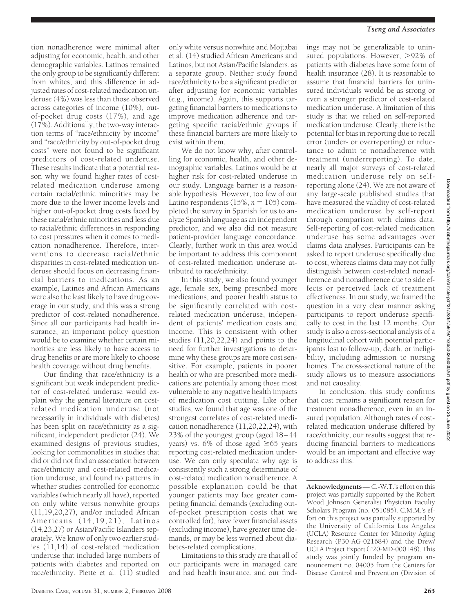tion nonadherence were minimal after adjusting for economic, health, and other demographic variables. Latinos remained the only group to be significantly different from whites, and this difference in adjusted rates of cost-related medication underuse (4%) was less than those observed across categories of income (10%), outof-pocket drug costs (17%), and age (17%). Additionally, the two-way interaction terms of "race/ethnicity by income" and "race/ethnicity by out-of-pocket drug costs" were not found to be significant predictors of cost-related underuse. These results indicate that a potential reason why we found higher rates of costrelated medication underuse among certain racial/ethnic minorities may be more due to the lower income levels and higher out-of-pocket drug costs faced by these racial/ethnic minorities and less due to racial/ethnic differences in responding to cost pressures when it comes to medication nonadherence. Therefore, interventions to decrease racial/ethnic disparities in cost-related medication underuse should focus on decreasing financial barriers to medications. As an example, Latinos and African Americans were also the least likely to have drug coverage in our study, and this was a strong predictor of cost-related nonadherence. Since all our participants had health insurance, an important policy question would be to examine whether certain minorities are less likely to have access to drug benefits or are more likely to choose health coverage without drug benefits.

Our finding that race/ethnicity is a significant but weak independent predictor of cost-related underuse would explain why the general literature on costrelated medication underuse (not necessarily in individuals with diabetes) has been split on race/ethnicity as a significant, independent predictor (24). We examined designs of previous studies, looking for commonalities in studies that did or did not find an association between race/ethnicity and cost-related medication underuse, and found no patterns in whether studies controlled for economic variables (which nearly all have), reported on only white versus nonwhite groups (11,19,20,27), and/or included African Americans (14,19,21), Latinos (14,23,27) or Asian/Pacific Islanders separately. We know of only two earlier studies  $(11,14)$  of cost-related medication underuse that included large numbers of patients with diabetes and reported on race/ethnicity. Piette et al.  $(1\bar{1})$  studied

only white versus nonwhite and Mojtabai et al. (14) studied African Americans and Latinos, but not Asian/Pacific Islanders, as a separate group. Neither study found race/ethnicity to be a significant predictor after adjusting for economic variables (e.g., income). Again, this supports targeting financial barriers to medications to improve medication adherence and targeting specific racial/ethnic groups if these financial barriers are more likely to exist within them.

We do not know why, after controlling for economic, health, and other demographic variables, Latinos would be at higher risk for cost-related underuse in our study. Language barrier is a reasonable hypothesis. However, too few of our Latino respondents  $(15\%, n = 105)$  completed the survey in Spanish for us to analyze Spanish language as an independent predictor, and we also did not measure patient-provider language concordance. Clearly, further work in this area would be important to address this component of cost-related medication underuse attributed to race/ethnicity.

In this study, we also found younger age, female sex, being prescribed more medications, and poorer health status to be significantly correlated with costrelated medication underuse, independent of patients' medication costs and income. This is consistent with other studies (11,20,22,24) and points to the need for further investigations to determine why these groups are more cost sensitive. For example, patients in poorer health or who are prescribed more medications are potentially among those most vulnerable to any negative health impacts of medication cost cutting. Like other studies, we found that age was one of the strongest correlates of cost-related medication nonadherence (11,20,22,24), with 23% of the youngest group (aged 18–44 years) vs.  $6\%$  of those aged  $\geq 65$  years reporting cost-related medication underuse. We can only speculate why age is consistently such a strong determinate of cost-related medication nonadherence. A possible explanation could be that younger patients may face greater competing financial demands (excluding outof-pocket prescription costs that we controlled for), have fewer financial assets (excluding income), have greater time demands, or may be less worried about diabetes-related complications.

Limitations to this study are that all of our participants were in managed care and had health insurance, and our find-

#### *Tseng and Associates*

ings may not be generalizable to uninsured populations. However, >92% of patients with diabetes have some form of health insurance (28). It is reasonable to assume that financial barriers for uninsured individuals would be as strong or even a stronger predictor of cost-related medication underuse. A limitation of this study is that we relied on self-reported medication underuse. Clearly, there is the potential for bias in reporting due to recall error (under- or overreporting) or reluctance to admit to nonadherence with treatment (underreporting). To date, nearly all major surveys of cost-related medication underuse rely on selfreporting alone (24). We are not aware of any large-scale published studies that have measured the validity of cost-related medication underuse by self-report through comparison with claims data. Self-reporting of cost-related medication underuse has some advantages over claims data analyses. Participants can be asked to report underuse specifically due to cost, whereas claims data may not fully distinguish between cost-related nonadherence and nonadherence due to side effects or perceived lack of treatment effectiveness. In our study, we framed the question in a very clear manner asking participants to report underuse specifically to cost in the last 12 months. Our study is also a cross-sectional analysis of a longitudinal cohort with potential participants lost to follow-up, death, or ineligibility, including admission to nursing homes. The cross-sectional nature of the study allows us to measure associations and not causality.

In conclusion, this study confirms that cost remains a significant reason for treatment nonadherence, even in an insured population. Although rates of costrelated medication underuse differed by race/ethnicity, our results suggest that reducing financial barriers to medications would be an important and effective way to address this.

**Acknowledgments**— C.-W.T.'s effort on this project was partially supported by the Robert Wood Johnson Generalist Physician Faculty Scholars Program (no. 051085). C.M.M.'s effort on this project was partially supported by the University of California Los Angeles (UCLA) Resource Center for Minority Aging Research (P30-AG-021684) and the Drew/ UCLA Project Export (P20-MD-000148). This study was jointly funded by program announcement no. 04005 from the Centers for Disease Control and Prevention (Division of